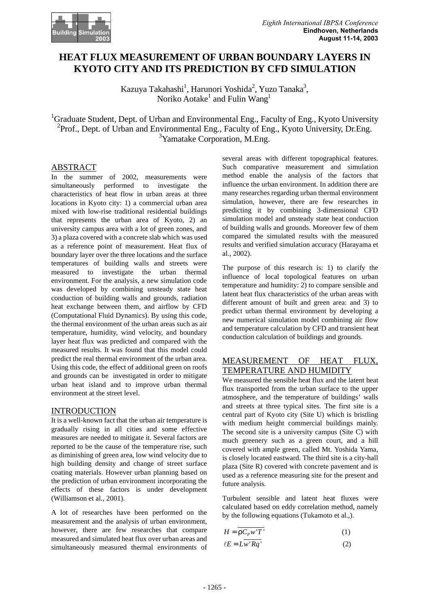

# **HEAT FLUX MEASUREMENT OF URBAN BOUNDARY LAYERS IN KYOTO CITY AND ITS PREDICTION BY CFD SIMULATION**

Kazuya Takahashi<sup>1</sup>, Harunori Yoshida<sup>2</sup>, Yuzo Tanaka<sup>3</sup>, Noriko Aotake $^{\rm l}$  and Fulin  $\rm{Wang}^{\rm l}$ 

<sup>1</sup>Graduate Student, Dept. of Urban and Environmental Eng., Faculty of Eng., Kyoto University <sup>2</sup>Prof., Dept. of Urban and Environmental Eng., Faculty of Eng., Kyoto University, Dr.Eng. <sup>3</sup>Yamatake Corporation, M.Eng.

## ABSTRACT

In the summer of 2002, measurements were simultaneously performed to investigate the characteristics of heat flow in urban areas at three locations in Kyoto city: 1) a commercial urban area mixed with low-rise traditional residential buildings that represents the urban area of Kyoto, 2) an university campus area with a lot of green zones, and 3) a plaza covered with a concrete slab which was used as a reference point of measurement. Heat flux of boundary layer over the three locations and the surface temperatures of building walls and streets were measured to investigate the urban thermal environment. For the analysis, a new simulation code was developed by combining unsteady state heat conduction of building walls and grounds, radiation heat exchange between them, and airflow by CFD (Computational Fluid Dynamics). By using this code, the thermal environment of the urban areas such as air temperature, humidity, wind velocity, and boundary layer heat flux was predicted and compared with the measured results. It was found that this model could predict the real thermal environment of the urban area. Using this code, the effect of additional green on roofs and grounds can be investigated in order to mitigate urban heat island and to improve urban thermal environment at the street level.

## INTRODUCTION

It is a well-known fact that the urban air temperature is gradually rising in all cities and some effective measures are needed to mitigate it. Several factors are reported to be the cause of the temperature rise, such as diminishing of green area, low wind velocity due to high building density and change of street surface coating materials. However urban planning based on the prediction of urban environment incorporating the effects of these factors is under development (Williamson et al., 2001).

A lot of researches have been performed on the measurement and the analysis of urban environment, however, there are few researches that compare measured and simulated heat flux over urban areas and simultaneously measured thermal environments of several areas with different topographical features. Such comparative measurement and simulation method enable the analysis of the factors that influence the urban environment. In addition there are many researches regarding urban thermal environment simulation, however, there are few researches in predicting it by combining 3-dimensional CFD simulation model and unsteady state heat conduction of building walls and grounds. Moreover few of them compared the simulated results with the measured results and verified simulation accuracy (Harayama et al., 2002).

The purpose of this research is: 1) to clarify the influence of local topological features on urban temperature and humidity: 2) to compare sensible and latent heat flux characteristics of the urban areas with different amount of built and green area: and 3) to predict urban thermal environment by developing a new numerical simulation model combining air flow and temperature calculation by CFD and transient heat conduction calculation of buildings and grounds.

# MEASUREMENT OF HEAT FLUX, TEMPERATURE AND HUMIDITY

We measured the sensible heat flux and the latent heat flux transported from the urban surface to the upper atmosphere, and the temperature of buildings' walls and streets at three typical sites. The first site is a central part of Kyoto city (Site U) which is bristling with medium height commercial buildings mainly. The second site is a university campus (Site C) with much greenery such as a green court, and a hill covered with ample green, called Mt. Yoshida Yama, is closely located eastward. The third site is a city-hall plaza (Site R) covered with concrete pavement and is used as a reference measuring site for the present and future analysis.

Turbulent sensible and latent heat fluxes were calculated based on eddy correlation method, namely by the following equations (Tukamoto et al.,).

$$
H = \overline{rC_p w'T'}
$$
 (1)

$$
\ell E = L \overline{w' R q'} \tag{2}
$$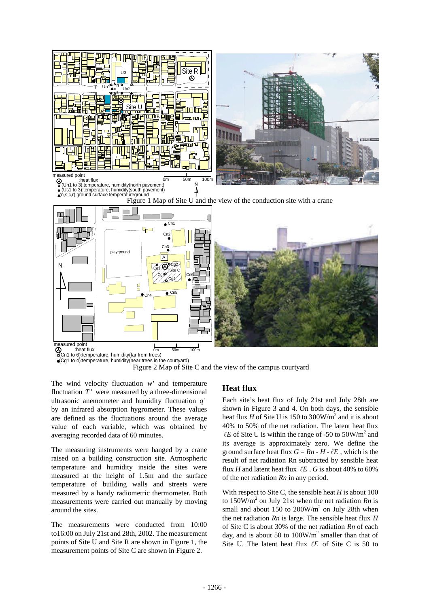

(Cg1 to 4):temperature, humidity(near trees in the courtyard)



The wind velocity fluctuation *w*' and temperature fluctuation  $T'$  were measured by a three-dimensional ultrasonic anemometer and humidity fluctuation *q* ' by an infrared absorption hygrometer. These values are defined as the fluctuations around the average value of each variable, which was obtained by averaging recorded data of 60 minutes.

The measuring instruments were hanged by a crane raised on a building construction site. Atmospheric temperature and humidity inside the sites were measured at the height of 1.5m and the surface temperature of building walls and streets were measured by a handy radiometric thermometer. Both measurements were carried out manually by moving around the sites.

The measurements were conducted from 10:00 to16:00 on July 21st and 28th, 2002. The measurement points of Site U and Site R are shown in Figure 1, the measurement points of Site C are shown in Figure 2.

## **Heat flux**

Each site's heat flux of July 21st and July 28th are shown in Figure 3 and 4. On both days, the sensible heat flux *H* of Site U is 150 to 300W/ $m^2$  and it is about 40% to 50% of the net radiation. The latent heat flux  $\ell E$  of Site U is within the range of -50 to 50W/m<sup>2</sup> and its average is approximately zero. We define the ground surface heat flux  $G = Rn - H - \ell E$ , which is the result of net radiation Rn subtracted by sensible heat flux *H* and latent heat flux  $\ell E$ . *G* is about 40% to 60% of the net radiation *Rn* in any period.

With respect to Site C, the sensible heat *H* is about 100 to  $150W/m<sup>2</sup>$  on July 21st when the net radiation *Rn* is small and about 150 to  $200W/m^2$  on July 28th when the net radiation *Rn* is large. The sensible heat flux *H* of Site C is about 30% of the net radiation *Rn* of each day, and is about 50 to  $100W/m<sup>2</sup>$  smaller than that of Site U. The latent heat flux  $\ell E$  of Site C is 50 to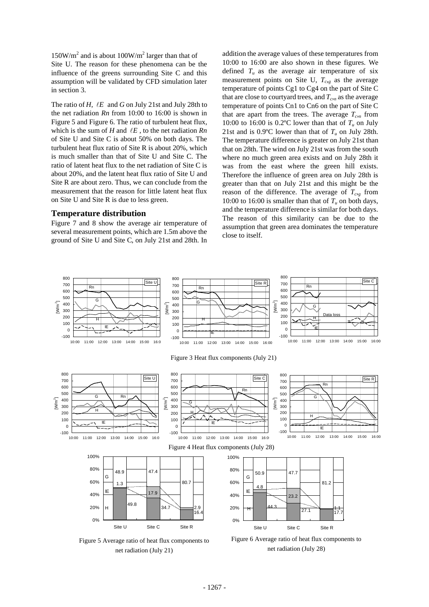$150W/m<sup>2</sup>$  and is about  $100W/m<sup>2</sup>$  larger than that of Site U. The reason for these phenomena can be the influence of the greens surrounding Site C and this assumption will be validated by CFD simulation later in section 3.

The ratio of *H*,  $\ell E$  and *G* on July 21st and July 28th to the net radiation *Rn* from 10:00 to 16:00 is shown in Figure 5 and Figure 6. The ratio of turbulent heat flux, which is the sum of  $H$  and  $\ell E$ , to the net radiation  $Rn$ of Site U and Site C is about 50% on both days. The turbulent heat flux ratio of Site R is about 20%, which is much smaller than that of Site U and Site C. The ratio of latent heat flux to the net radiation of Site C is about 20%, and the latent heat flux ratio of Site U and Site R are about zero. Thus, we can conclude from the measurement that the reason for little latent heat flux on Site U and Site R is due to less green.

### **Temperature distribution**

Figure 7 and 8 show the average air temperature of several measurement points, which are 1.5m above the ground of Site U and Site C, on July 21st and 28th. In

addition the average values of these temperatures from 10:00 to 16:00 are also shown in these figures. We defined  $T_u$  as the average air temperature of six measurement points on Site U,  $T_{cg}$  as the average temperature of points Cg1 to Cg4 on the part of Site C that are close to courtyard trees, and  $T_{cn}$  as the average temperature of points Cn1 to Cn6 on the part of Site C that are apart from the trees. The average  $T_{c,n}$  from 10:00 to 16:00 is 0.2°C lower than that of  $T_u$  on July 21st and is 0.9 $\degree$ C lower than that of  $T_u$  on July 28th. The temperature difference is greater on July 21st than that on 28th. The wind on July 21st was from the south where no much green area exists and on July 28th it was from the east where the green hill exists. Therefore the influence of green area on July 28th is greater than that on July 21st and this might be the reason of the difference. The average of  $T_{c}$  from 10:00 to 16:00 is smaller than that of  $T_u$  on both days, and the temperature difference is similar for both days. The reason of this similarity can be due to the assumption that green area dominates the temperature close to itself.



Figure 5 Average ratio of heat flux components to net radiation (July 21)

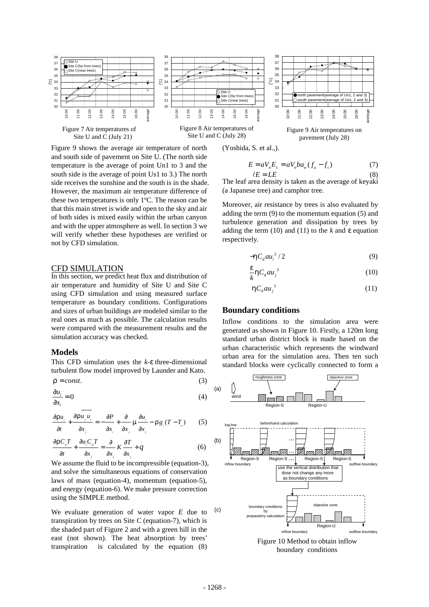

Figure 9 shows the average air temperature of north and south side of pavement on Site U. (The north side temperature is the average of point Un1 to 3 and the south side is the average of point Us1 to 3.) The north side receives the sunshine and the south is in the shade. However, the maximum air temperature difference of these two temperatures is only 1ºC. The reason can be that this main street is wide and open to the sky and air of both sides is mixed easily within the urban canyon and with the upper atmosphere as well. In section 3 we will verify whether these hypotheses are verified or not by CFD simulation.

#### CFD SIMULATION

In this section, we predict heat flux and distribution of air temperature and humidity of Site U and Site C using CFD simulation and using measured surface temperature as boundary conditions. Configurations and sizes of urban buildings are modeled similar to the real ones as much as possible. The calculation results were compared with the measurement results and the simulation accuracy was checked.

### **Models**

This CFD simulation uses the *k*-*e* three-dimensional turbulent flow model improved by Launder and Kato.

$$
r = const.
$$
 (3)

$$
\frac{\partial u_i}{\partial x_i} = 0 \tag{4}
$$

$$
\frac{\partial \mathbf{r} u_i}{\partial t} + \frac{\partial \mathbf{r} u_j u_i}{\partial x_i} = -\frac{\partial P}{\partial x} + \frac{\partial}{\partial x_i} \mathbf{m} \frac{\partial u_i}{\partial x_i} - \mathbf{r} g_i (T - T_o) \tag{5}
$$

*j ijj*

$$
\frac{\partial r C_{p} T}{\partial t} + \frac{\partial u_{i} C_{p} T}{\partial x_{j}} = \frac{\partial}{\partial x_{j}} K \frac{\partial T}{\partial x_{j}} + q
$$
(6)

We assume the fluid to be incompressible (equation-3), and solve the simultaneous equations of conservation laws of mass (equation-4), momentum (equation-5), and energy (equation-6). We make pressure correction using the SIMPLE method.

We evaluate generation of water vapor *E* due to transpiration by trees on Site C (equation-7), which is the shaded part of Figure 2 and with a green hill in the east (not shown). The heat absorption by trees' transpiration is calculated by the equation (8)

(Yoshida, S. et al.,).

$$
E = aVnEs = aVnbaw(fa - fs)
$$
 (7)  
\n
$$
\ell E = LE
$$
 (8)

The leaf area density is taken as the average of keyaki (a Japanese tree) and camphor tree.

Moreover, air resistance by trees is also evaluated by adding the term (9) to the momentum equation (5) and turbulence generation and dissipation by trees by adding the term (10) and (11) to the *k* and *e* equation respectively.

$$
-\hbar C_a a u_i^2 / 2 \tag{9}
$$

$$
\frac{e}{k} h C_d a u_j^3 \tag{10}
$$

$$
hC_a a u_j^3 \tag{11}
$$

### **Boundary conditions**

Inflow conditions to the simulation area were generated as shown in Figure 10. Firstly, a 120m long standard urban district block is made based on the urban characteristic which represents the windward urban area for the simulation area. Then ten such standard blocks were cyclically connected to form a

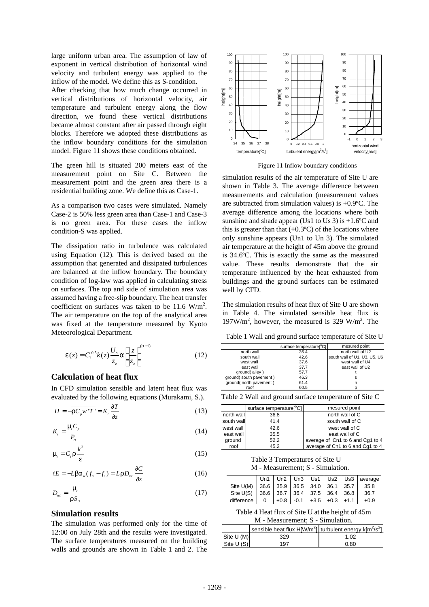large uniform urban area. The assumption of law of exponent in vertical distribution of horizontal wind velocity and turbulent energy was applied to the inflow of the model. We define this as S-condition.

After checking that how much change occurred in vertical distributions of horizontal velocity, air temperature and turbulent energy along the flow direction, we found these vertical distributions became almost constant after air passed through eight blocks. Therefore we adopted these distributions as the inflow boundary conditions for the simulation model. Figure 11 shows these conditions obtained.

The green hill is situated 200 meters east of the measurement point on Site C. Between the measurement point and the green area there is a residential building zone. We define this as Case-1.

As a comparison two cases were simulated. Namely Case-2 is 50% less green area than Case-1 and Case-3 is no green area. For these cases the inflow condition-S was applied.

The dissipation ratio in turbulence was calculated using Equation (12). This is derived based on the assumption that generated and dissipated turbulences are balanced at the inflow boundary. The boundary condition of log-law was applied in calculating stress on surfaces. The top and side of simulation area was assumed having a free-slip boundary. The heat transfer coefficient on surfaces was taken to be  $11.6 \text{ W/m}^2$ . The air temperature on the top of the analytical area was fixed at the temperature measured by Kyoto Meteorological Department.

$$
\mathbf{e}(z) = C_t^{0.5} k(z) \frac{U_s}{z_z} \mathbf{a} \left( \frac{z}{z_z} \right)^{(\mathbf{a}-1)}
$$
(12)

## **Calculation of heat flux**

In CFD simulation sensible and latent heat flux was evaluated by the following equations (Murakami, S.).

$$
H = -\overline{rC_{p}w'T'} = K_{i}\frac{\partial T}{\partial z}
$$
 (13)

$$
K_{i} = \frac{\mathbf{m} C_{p}}{P_{n}}
$$
 (14)

$$
m_{\tilde{l}} = C_{\tilde{l}} r \frac{k^2}{e} \tag{15}
$$

$$
\ell E = -Lba_w(f_a - f_s) = LrD_{\rm int} \frac{\partial C}{\partial z}
$$
 (16)

$$
D_{\scriptscriptstyle{mt}} = \frac{\mathbf{m}_{\scriptscriptstyle{f}}}{\mathbf{r} S_{\scriptscriptstyle{ct}}} \tag{17}
$$

### **Simulation results**

The simulation was performed only for the time of 12:00 on July 28th and the results were investigated. The surface temperatures measured on the building walls and grounds are shown in Table 1 and 2. The



Figure 11 Inflow boundary conditions

simulation results of the air temperature of Site U are shown in Table 3. The average difference between measurements and calculation (measurement values are subtracted from simulation values) is +0.9ºC. The average difference among the locations where both sunshine and shade appear (Us1 to Us 3) is  $+1.6$ °C and this is greater than that  $(+0.3^{\circ}C)$  of the locations where only sunshine appears (Un1 to Un 3). The simulated air temperature at the height of 45m above the ground is 34.6ºC. This is exactly the same as the measured value. These results demonstrate that the air temperature influenced by the heat exhausted from buildings and the ground surfaces can be estimated well by CFD.

The simulation results of heat flux of Site U are shown in Table 4. The simulated sensible heat flux is  $197W/m<sup>2</sup>$ , however, the measured is 329 W/m<sup>2</sup>. The

Table 1 Wall and ground surface temperature of Site U

|                        | surface temperature <sup>c</sup> Cl | mesured point                |
|------------------------|-------------------------------------|------------------------------|
| north wall             | 36.4                                | north wall of U2             |
| south wall             | 42.6                                | south wall of U1, U3, U5, U6 |
| west wall              | 37.6                                | west wall of U4              |
| east wall              | 37.7                                | east wall of U2              |
| ground(alley)          | 57.7                                |                              |
| ground(south pavement) | 46.3                                | s                            |
| ground(north pavement) | 61.4                                | n                            |
| roof                   | 60.5                                |                              |

|  |  |  |  | Table 2 Wall and ground surface temperature of Site C |  |  |
|--|--|--|--|-------------------------------------------------------|--|--|
|  |  |  |  |                                                       |  |  |

|            | surface temperature <sup>o</sup> C1 | mesured point                    |
|------------|-------------------------------------|----------------------------------|
| north wall | 36.8                                | north wall of C                  |
| south wall | 41.4                                | south wall of C                  |
| west wall  | 42.6                                | west wall of C                   |
| east wall  | 35.5                                | east wall of C                   |
| ground     | 52.2                                | average of Cn1 to 6 and Cg1 to 4 |
| roof       | 45.2                                | average of Cn1 to 6 and Cq1 to 4 |

Table 3 Temperatures of Site U M - Measurement; S - Simulation.

|             | 1Jn1 |        | $Un2$   Un3   Us1                         | Us2          | Us3    | average |
|-------------|------|--------|-------------------------------------------|--------------|--------|---------|
| Site U(M)   |      |        | $36.6$   35.9   36.5   34.0   36.1   35.7 |              |        | 35.8    |
| Site $U(S)$ |      |        | 36.6 36.7 36.4 37.5 36.4 36.8             |              |        | 36.7    |
| difference  | ∩    | $+0.8$ | -0.1                                      | $+3.5$ + 0.3 | $+1.1$ | $+0.9$  |

Table 4 Heat flux of Site U at the height of 45m M - Measurement; S - Simulation.

| sensible heat flux $H[W/m^2]$ turbulent energy $k[m^2/s^2]$ |  |  |
|-------------------------------------------------------------|--|--|
|                                                             |  |  |
| Site U (M)<br>329<br>1.02                                   |  |  |
| Site U (S)<br>197<br>0.80                                   |  |  |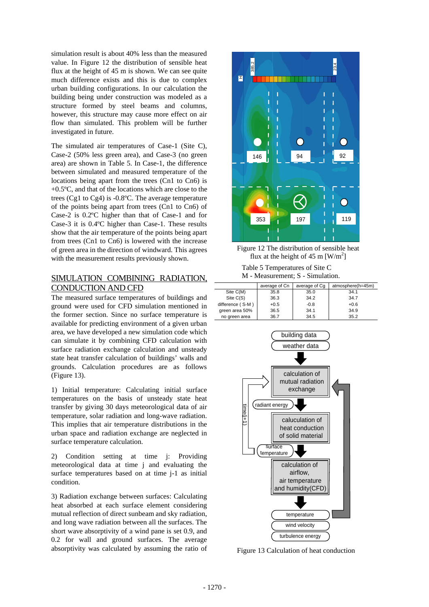simulation result is about 40% less than the measured value. In Figure 12 the distribution of sensible heat flux at the height of 45 m is shown. We can see quite much difference exists and this is due to complex urban building configurations. In our calculation the building being under construction was modeled as a structure formed by steel beams and columns, however, this structure may cause more effect on air flow than simulated. This problem will be further investigated in future.

The simulated air temperatures of Case-1 (Site C), Case-2 (50% less green area), and Case-3 (no green area) are shown in Table 5. In Case-1, the difference between simulated and measured temperature of the locations being apart from the trees (Cn1 to Cn6) is +0.5ºC, and that of the locations which are close to the trees (Cg1 to Cg4) is -0.8ºC. The average temperature of the points being apart from trees (Cn1 to Cn6) of Case-2 is 0.2ºC higher than that of Case-1 and for Case-3 it is 0.4ºC higher than Case-1. These results show that the air temperature of the points being apart from trees (Cn1 to Cn6) is lowered with the increase of green area in the direction of windward. This agrees with the measurement results previously shown.

## SIMULATION COMBINING RADIATION, CONDUCTION AND CFD

The measured surface temperatures of buildings and ground were used for CFD simulation mentioned in the former section. Since no surface temperature is available for predicting environment of a given urban area, we have developed a new simulation code which can simulate it by combining CFD calculation with surface radiation exchange calculation and unsteady state heat transfer calculation of buildings' walls and grounds. Calculation procedures are as follows (Figure 13).

1) Initial temperature: Calculating initial surface temperatures on the basis of unsteady state heat transfer by giving 30 days meteorological data of air temperature, solar radiation and long-wave radiation. This implies that air temperature distributions in the urban space and radiation exchange are neglected in surface temperature calculation.

2) Condition setting at time j: Providing meteorological data at time j and evaluating the surface temperatures based on at time j-1 as initial condition.

3) Radiation exchange between surfaces: Calculating heat absorbed at each surface element considering mutual reflection of direct sunbeam and sky radiation, and long wave radiation between all the surfaces. The short wave absorptivity of a wind pane is set 0.9, and 0.2 for wall and ground surfaces. The average absorptivity was calculated by assuming the ratio of



Figure 12 The distribution of sensible heat flux at the height of 45 m  $\text{[W/m}^2\text{]}$ 

Table 5 Temperatures of Site C M - Measurement; S - Simulation.

|                  | average of Cn | average of Cg | atmosphere(h=45m) |
|------------------|---------------|---------------|-------------------|
| Site C(M)        | 35.8          | 35.0          | 34.1              |
| Site C(S)        | 36.3          | 34.2          | 34.7              |
| difference (S-M) | $+0.5$        | $-0.8$        | $+0.6$            |
| green area 50%   | 36.5          | 34.1          | 34.9              |
| no green area    | 36.7          | 34.5          | 35.2              |



Figure 13 Calculation of heat conduction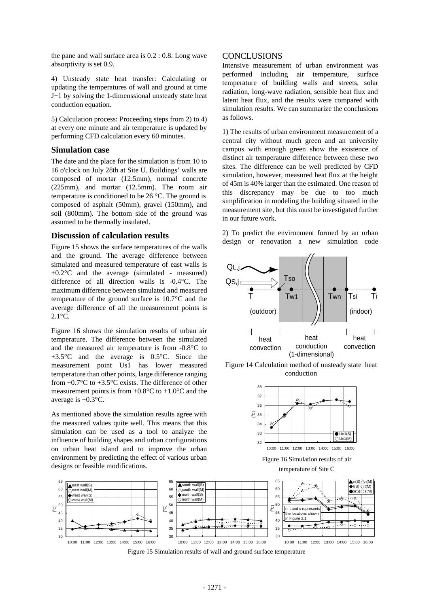the pane and wall surface area is 0.2 : 0.8. Long wave absorptivity is set 0.9.

4) Unsteady state heat transfer: Calculating or updating the temperatures of wall and ground at time J+1 by solving the 1-dimenssional unsteady state heat conduction equation.

5) Calculation process: Proceeding steps from 2) to 4) at every one minute and air temperature is updated by performing CFD calculation every 60 minutes.

### **Simulation case**

The date and the place for the simulation is from 10 to 16 o'clock on July 28th at Site U. Buildings' walls are composed of mortar (12.5mm), normal concrete (225mm), and mortar (12.5mm). The room air temperature is conditioned to be 26 °C. The ground is composed of asphalt (50mm), gravel (150mm), and soil (800mm). The bottom side of the ground was assumed to be thermally insulated.

### **Discussion of calculation results**

Figure 15 shows the surface temperatures of the walls and the ground. The average difference between simulated and measured temperature of east walls is  $+0.2$ <sup>o</sup>C and the average (simulated - measured) difference of all direction walls is -0.4°C. The maximum difference between simulated and measured temperature of the ground surface is 10.7°C and the average difference of all the measurement points is 2.1°C.

Figure 16 shows the simulation results of urban air temperature. The difference between the simulated and the measured air temperature is from -0.8°C to +3.5°C and the average is 0.5°C. Since the measurement point Us1 has lower measured temperature than other points, large difference ranging from  $+0.7$ °C to  $+3.5$ °C exists. The difference of other measurement points is from  $+0.8^{\circ}$ C to  $+1.0^{\circ}$ C and the average is  $+0.3$ °C.

As mentioned above the simulation results agree with the measured values quite well. This means that this simulation can be used as a tool to analyze the influence of building shapes and urban configurations on urban heat island and to improve the urban environment by predicting the effect of various urban designs or feasible modifications.

### CONCLUSIONS

Intensive measurement of urban environment was performed including air temperature, surface temperature of building walls and streets, solar radiation, long-wave radiation, sensible heat flux and latent heat flux, and the results were compared with simulation results. We can summarize the conclusions as follows.

1) The results of urban environment measurement of a central city without much green and an university campus with enough green show the existence of distinct air temperature difference between these two sites. The difference can be well predicted by CFD simulation, however, measured heat flux at the height of 45m is 40% larger than the estimated. One reason of this discrepancy may be due to too much simplification in modeling the building situated in the measurement site, but this must be investigated further in our future work.

2) To predict the environment formed by an urban design or renovation a new simulation code







Figure 16 Simulation results of air temperature of Site C